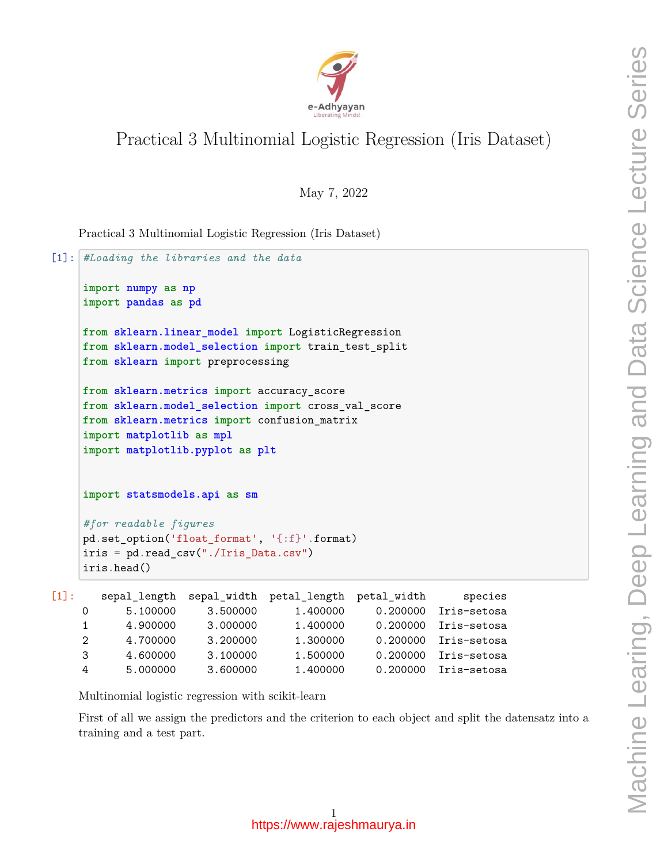

# Practical 3 Multinomial Logistic Regression (Iris Dataset)

May 7, 2022

Practical 3 Multinomial Logistic Regression (Iris Dataset)

```
[1]: #Loading the libraries and the data
    import numpy as np
    import pandas as pd
    from sklearn.linear_model import LogisticRegression
    from sklearn.model_selection import train_test_split
    from sklearn import preprocessing
    from sklearn.metrics import accuracy_score
    from sklearn.model_selection import cross_val_score
    from sklearn.metrics import confusion_matrix
    import matplotlib as mpl
    import matplotlib.pyplot as plt
    import statsmodels.api as sm
    #for readable figures
    pd.set_option('float_format', '{:f}'.format)
    iris = pd.read_csv("./Iris_Data.csv")
    iris.head()
[1]: sepal length sepal width petal length petal width species
```

|               |          |          | $5000 - 2000 - 2000 - 0000 - 0000 - 0000 - 0000 - 0000 - 0000 - 0000 - 0000 - 0000 - 0000 - 0000 - 0000 - 0000 - 0000 - 0000 - 0000 - 0000 - 0000 - 0000 - 0000 - 0000 - 0000 - 0000 - 0000 - 0000 - 0000 - 0000 - 0000 - 0000 - 0000 - 0000 - 0000 - 0000 - 0000$ |                      |
|---------------|----------|----------|--------------------------------------------------------------------------------------------------------------------------------------------------------------------------------------------------------------------------------------------------------------------|----------------------|
|               | 5.100000 | 3.500000 | 1.400000                                                                                                                                                                                                                                                           | 0.200000 Iris-setosa |
|               | 4.900000 | 3.000000 | 1.400000                                                                                                                                                                                                                                                           | 0.200000 Iris-setosa |
| $\mathcal{D}$ | 4.700000 | 3.200000 | 1.300000                                                                                                                                                                                                                                                           | 0.200000 Iris-setosa |
| $\mathbf{B}$  | 4.600000 | 3.100000 | 1.500000                                                                                                                                                                                                                                                           | 0.200000 Iris-setosa |
| 4             | 5.000000 | 3.600000 | 1.400000                                                                                                                                                                                                                                                           | 0.200000 Iris-setosa |

Multinomial logistic regression with scikit-learn

First of all we assign the predictors and the criterion to each object and split the datensatz into a training and a test part.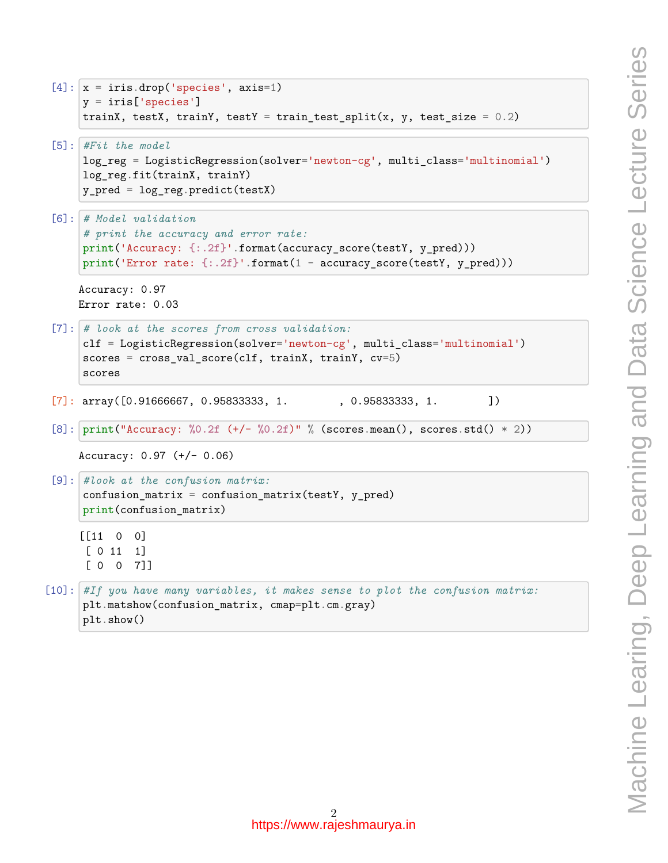```
[4]: x = \text{iris.drop('species', axis=1)}y = iris['species']
     trainX, testX, trainY, testY = train_test_split(x, y, test_size = 0.2)
[5]: #Fit the model
     log_reg = LogisticRegression(solver='newton-cg', multi_class='multinomial')
     log reg.fit(trainX, trainY)
     y_pred = log_reg.predict(testX)
[6]: # Model validation
     # print the accuracy and error rate:
```

```
print('Accuracy: {:.2f}'.format(accuracy_score(testY, y_pred)))
print('Error rate: {:.2f}'.format(1 - accuracy_score(testY, y_pred)))
```
Accuracy: 0.97 Error rate: 0.03

```
[7]: # look at the scores from cross validation:
     clf = LogisticRegression(solver='newton-cg', multi_class='multinomial')
     scores = cross_val_score(clf, trainX, trainY, cv=5)
     scores
```
- $[7]:$  array( $[0.91666667, 0.95833333, 1.$ , 0.958333333, 1. ])
- [8]: print("Accuracy: **%0.2f** (+/- **%0.2f**)" % (scores.mean(), scores.std() \* 2))

```
Accuracy: 0.97 (+/- 0.06)
```

```
[9]: #look at the confusion matrix:
     confusion_matrix = confusion_matrix(testY, y_pred)print(confusion_matrix)
```
[[11 0 0] [ 0 11 1] [ 0 0 7]]

```
[10]: #If you have many variables, it makes sense to plot the confusion matrix:
      plt.matshow(confusion_matrix, cmap=plt.cm.gray)
      plt.show()
```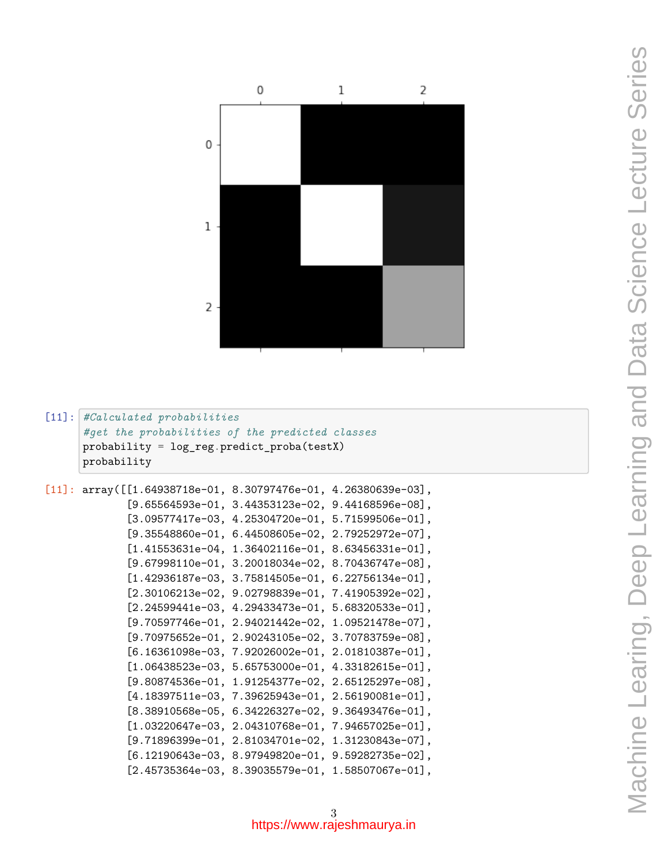

## [11]: *#Calculated probabilities #get the probabilities of the predicted classes* probability = log\_reg.predict\_proba(testX) probability

```
[11]: array([[1.64938718e-01, 8.30797476e-01, 4.26380639e-03],
             [9.65564593e-01, 3.44353123e-02, 9.44168596e-08],
             [3.09577417e-03, 4.25304720e-01, 5.71599506e-01],
             [9.35548860e-01, 6.44508605e-02, 2.79252972e-07],
             [1.41553631e-04, 1.36402116e-01, 8.63456331e-01],
             [9.67998110e-01, 3.20018034e-02, 8.70436747e-08],
             [1.42936187e-03, 3.75814505e-01, 6.22756134e-01],
             [2.30106213e-02, 9.02798839e-01, 7.41905392e-02],
             [2.24599441e-03, 4.29433473e-01, 5.68320533e-01],
             [9.70597746e-01, 2.94021442e-02, 1.09521478e-07],
             [9.70975652e-01, 2.90243105e-02, 3.70783759e-08],
             [6.16361098e-03, 7.92026002e-01, 2.01810387e-01],
             [1.06438523e-03, 5.65753000e-01, 4.33182615e-01],
             [9.80874536e-01, 1.91254377e-02, 2.65125297e-08],
             [4.18397511e-03, 7.39625943e-01, 2.56190081e-01],
             [8.38910568e-05, 6.34226327e-02, 9.36493476e-01],
             [1.03220647e-03, 2.04310768e-01, 7.94657025e-01],
             [9.71896399e-01, 2.81034701e-02, 1.31230843e-07],
             [6.12190643e-03, 8.97949820e-01, 9.59282735e-02],
             [2.45735364e-03, 8.39035579e-01, 1.58507067e-01],
```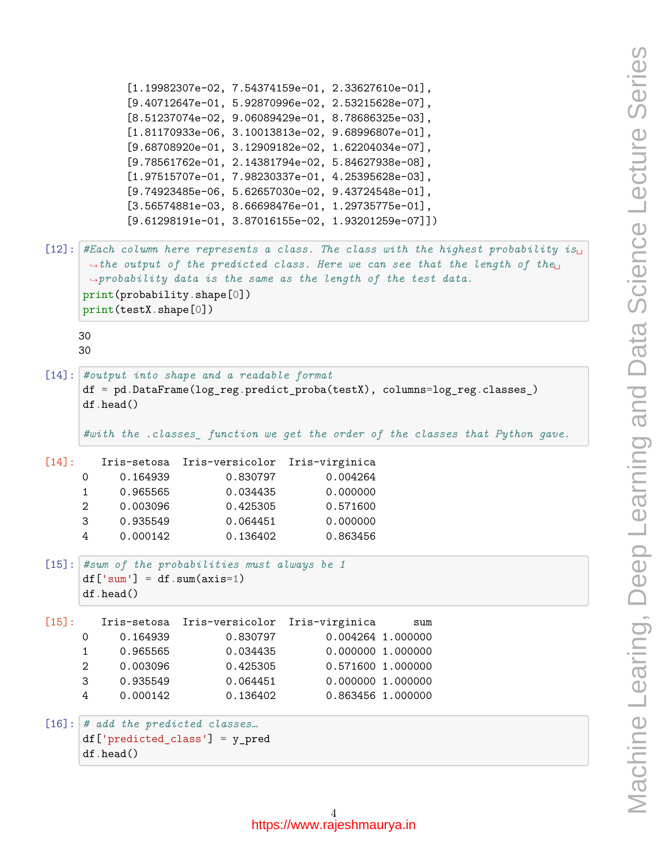```
[1.19982307e-02, 7.54374159e-01, 2.33627610e-01],
           [9.40712647e-01, 5.92870996e-02, 2.53215628e-07],
           [8.51237074e-02, 9.06089429e-01, 8.78686325e-03],
           [1.81170933e-06, 3.10013813e-02, 9.68996807e-01],
           [9.68708920e-01, 3.12909182e-02, 1.62204034e-07],
           [9.78561762e-01, 2.14381794e-02, 5.84627938e-08],
           [1.97515707e-01, 7.98230337e-01, 4.25395628e-03],
           [9.74923485e-06, 5.62657030e-02, 9.43724548e-01],
           [3.56574881e-03, 8.66698476e-01, 1.29735775e-01],
           [9.61298191e-01, 3.87016155e-02, 1.93201259e-07]])
[12]: #Each column here represents a class. The class with the highest probability i_{\text{SL}},→the output of the predicted class. Here we can see that the length of the␣
      ,→probability data is the same as the length of the test data.
     print(probability.shape[0])
     print(testX.shape[0])
    30
    30
[14]: #output into shape and a readable format
     df = pd.DataFrame(log_reg.predict_proba(testX), columns=log_reg.classes_)
     df.head()
     #with the .classes_ function we get the order of the classes that Python gave.
[14]: Iris-setosa Iris-versicolor Iris-virginica
     0 0.164939 0.830797 0.004264
     1 0.965565 0.034435 0.000000
     2 0.003096 0.425305 0.571600
     3 0.935549 0.064451 0.000000
     4 0.000142 0.136402 0.863456
[15]: #sum of the probabilities must always be 1
     df['sum'] = df.sum(axis=1)df.head()
[15]: Iris-setosa Iris-versicolor Iris-virginica sum
     0 0.164939 0.830797 0.004264 1.000000
     1 0.965565 0.034435 0.000000 1.000000
     2 0.003096 0.425305 0.571600 1.000000
     3 0.935549 0.064451 0.000000 1.000000
     4 0.000142 0.136402 0.863456 1.000000
[16]: # add the predicted classes…
     df['predicted_class'] = y_pred
     df.head()
```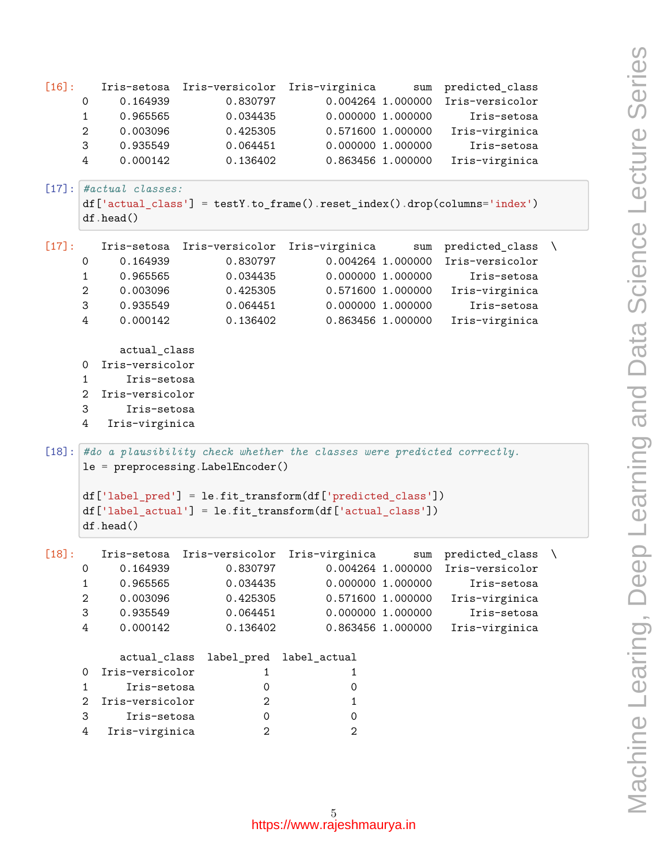```
[16]: Iris-setosa Iris-versicolor Iris-virginica sum predicted_class
    0 0.164939 0.830797 0.004264 1.000000 Iris-versicolor
    1 0.965565 0.034435 0.000000 1.000000 Iris-setosa
    2 0.003096 0.425305 0.571600 1.000000 Iris-virginica
    3 0.935549 0.064451 0.000000 1.000000 Iris-setosa
    4 0.000142 0.136402 0.863456 1.000000 Iris-virginica
[17]: #actual classes:
    df['actual_class'] = testY.to_frame().reset_index().drop(columns='index')
    df.head()
[17]: Iris-setosa Iris-versicolor Iris-virginica sum predicted_class \
    0 0.164939 0.830797 0.004264 1.000000 Iris-versicolor
    1 0.965565 0.034435 0.000000 1.000000 Iris-setosa
    2 0.003096 0.425305 0.571600 1.000000 Iris-virginica
    3 0.935549 0.064451 0.000000 1.000000 Iris-setosa
    4 0.000142 0.136402 0.863456 1.000000 Iris-virginica
         actual_class
    0 Iris-versicolor
    1 Iris-setosa
    2 Iris-versicolor
    3 Iris-setosa
    4 Iris-virginica
[18]: #do a plausibility check whether the classes were predicted correctly.
    le = preprocessing.LabelEncoder()
    df['label_pred'] = le.fit_transform(df['predicted_class'])
    df['label_actual'] = le.fit_transform(df['actual_class'])
    df.head()
[18]: Iris-setosa Iris-versicolor Iris-virginica sum predicted class \
    0 0.164939 0.830797 0.004264 1.000000 Iris-versicolor
    1 0.965565 0.034435 0.000000 1.000000 Iris-setosa
    2 0.003096 0.425305 0.571600 1.000000 Iris-virginica
    3 0.935549 0.064451 0.000000 1.000000 Iris-setosa
    4 0.000142 0.136402 0.863456 1.000000 Iris-virginica
         actual_class label_pred label_actual
    0 Iris-versicolor 1 1 1 1
    1 Iris-setosa 0 0
    2 Iris-versicolor 2 1
    3 Iris-setosa 0 0
    4 Iris-virginica 2 2
```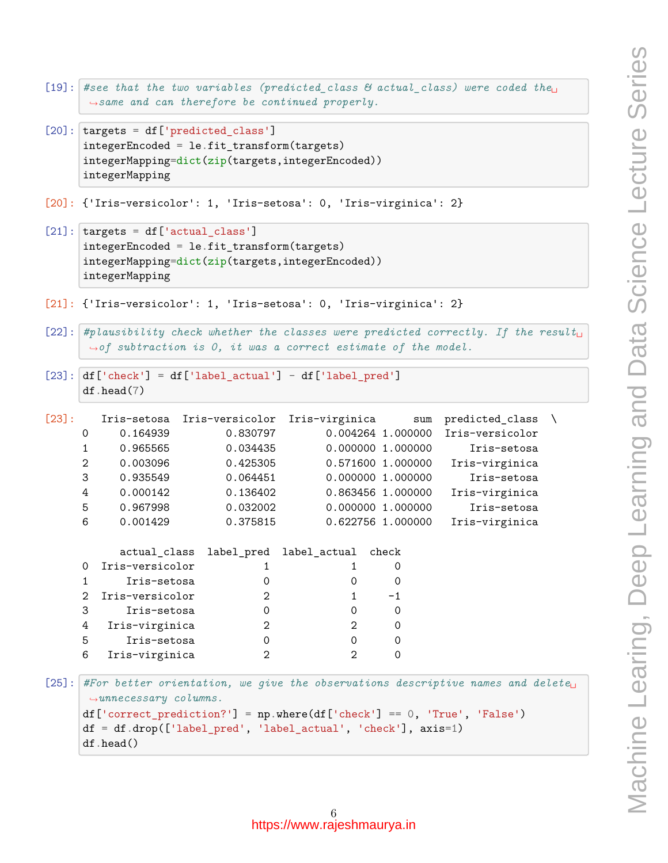```
[19]: #see that the two variables (predicted class \& actual class) were coded the
       ,→same and can therefore be continued properly.
```
- [20]: targets = df['predicted\_class'] integerEncoded = le.fit\_transform(targets) integerMapping=dict(zip(targets,integerEncoded)) integerMapping
- [20]: {'Iris-versicolor': 1, 'Iris-setosa': 0, 'Iris-virginica': 2}
- $[21]$ :  $\text{targets} = \text{df}['actual_class']$ integerEncoded = le.fit\_transform(targets) integerMapping=dict(zip(targets,integerEncoded)) integerMapping
- [21]: {'Iris-versicolor': 1, 'Iris-setosa': 0, 'Iris-virginica': 2}
- $[22]:$  *#plausibility check whether the classes were predicted correctly. If the result ,→of subtraction is 0, it was a correct estimate of the model.*
- $[23]$ : df ['check'] = df ['label\_actual'] df ['label\_pred'] df.head(7)

| $[23]$ :                                                                                                                                                                                                                                                                                             |              |                 | Iris-setosa Iris-versicolor | Iris-virginica                             | sum               | predicted_class |  |
|------------------------------------------------------------------------------------------------------------------------------------------------------------------------------------------------------------------------------------------------------------------------------------------------------|--------------|-----------------|-----------------------------|--------------------------------------------|-------------------|-----------------|--|
|                                                                                                                                                                                                                                                                                                      | 0            | 0.164939        | 0.830797                    |                                            | 0.004264 1.000000 | Iris-versicolor |  |
|                                                                                                                                                                                                                                                                                                      | 1            | 0.965565        | 0.034435                    |                                            | 0.000000 1.000000 | Iris-setosa     |  |
|                                                                                                                                                                                                                                                                                                      | $\mathbf{2}$ | 0.003096        | 0.425305                    |                                            | 0.571600 1.000000 | Iris-virginica  |  |
|                                                                                                                                                                                                                                                                                                      | 3            | 0.935549        | 0.064451                    |                                            | 0.000000 1.000000 | Iris-setosa     |  |
|                                                                                                                                                                                                                                                                                                      | 4            | 0.000142        | 0.136402                    |                                            | 0.863456 1.000000 | Iris-virginica  |  |
|                                                                                                                                                                                                                                                                                                      | 5            | 0.967998        | 0.032002                    |                                            | 0.000000 1.000000 | Iris-setosa     |  |
|                                                                                                                                                                                                                                                                                                      | 6            | 0.001429        | 0.375815                    |                                            | 0.622756 1.000000 | Iris-virginica  |  |
|                                                                                                                                                                                                                                                                                                      |              |                 |                             | actual_class label_pred label_actual check |                   |                 |  |
|                                                                                                                                                                                                                                                                                                      | $\Omega$     | Iris-versicolor | 1                           | 1                                          | 0                 |                 |  |
|                                                                                                                                                                                                                                                                                                      | $\mathbf{1}$ | Iris-setosa     | 0                           | 0                                          | 0                 |                 |  |
|                                                                                                                                                                                                                                                                                                      | 2            | Iris-versicolor | $\overline{2}$              | $\mathbf{1}$                               | $-1$              |                 |  |
|                                                                                                                                                                                                                                                                                                      | 3            | Iris-setosa     | $\mathbf 0$                 | $\mathbf 0$                                | $\mathbf 0$       |                 |  |
|                                                                                                                                                                                                                                                                                                      | 4            | Iris-virginica  | $\overline{2}$              | 2                                          | 0                 |                 |  |
|                                                                                                                                                                                                                                                                                                      | 5            | Iris-setosa     | $\mathbf 0$                 | $\mathbf 0$                                | $\mathbf 0$       |                 |  |
|                                                                                                                                                                                                                                                                                                      | 6            | Iris-virginica  | $\overline{2}$              | $\mathfrak{D}$                             | $\mathbf 0$       |                 |  |
| [25] :  <br>#For better orientation, we give the observations descriptive names and delete<br>$\rightarrow$ unnecessary columns.<br>$df['correct\_prediction?'] = np.where(df['check'] == 0, 'True', 'False')$<br>$df = df.drop(['label_pred', 'label_actual', 'check'], axis=1)$<br>$df$ .head $()$ |              |                 |                             |                                            |                   |                 |  |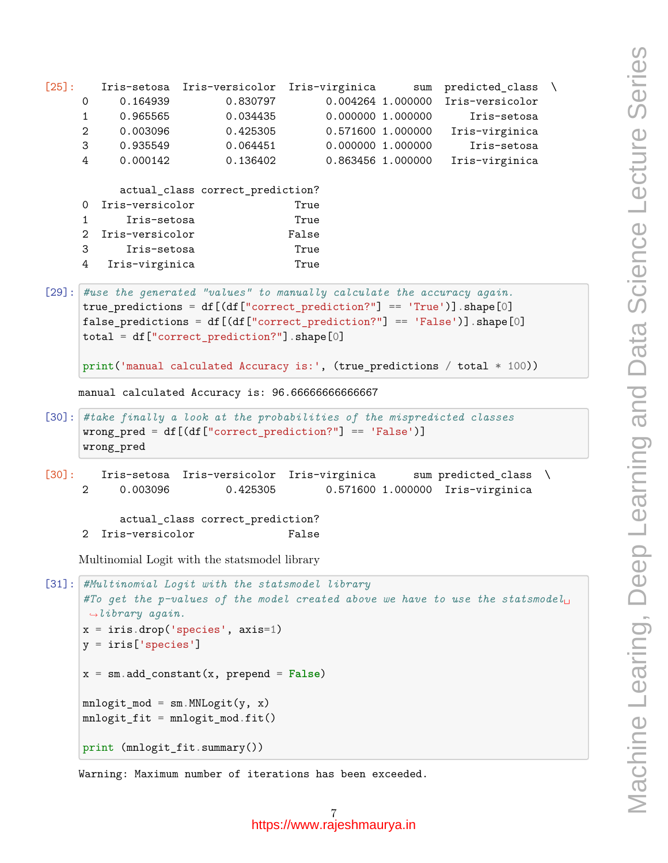```
[25]: Iris-setosa Iris-versicolor Iris-virginica sum predicted_class \
     0 0.164939 0.830797 0.004264 1.000000 Iris-versicolor
     1 0.965565 0.034435 0.000000 1.000000 Iris-setosa
     2 0.003096 0.425305 0.571600 1.000000 Iris-virginica
     3 0.935549 0.064451 0.000000 1.000000 Iris-setosa
     4 0.000142 0.136402 0.863456 1.000000 Iris-virginica
          actual_class correct_prediction?
     0 Iris-versicolor True
     1 Iris-setosa True
     2 Iris-versicolor False
     3 Iris-setosa True
     4 Iris-virginica True
[29]: #use the generated "values" to manually calculate the accuracy again.
     true_predictions = df[(df["correct_prediction?"] == 'True')].shape[0]
     false_predictions = df[(df["correct\_prediction?"] == 'False')].shape[0]total = df["correct_prediction?"].shape[0]
     print('manual calculated Accuracy is:', (true_predictions / total * 100))
    manual calculated Accuracy is: 96.66666666666667
[30]: #take finally a look at the probabilities of the mispredicted classes
     wrong_pred = df[(df["correct_prediction?"] == 'False')]
     wrong_pred
[30]: Iris-setosa Iris-versicolor Iris-virginica sum predicted class \
     2 0.003096 0.425305 0.571600 1.000000 Iris-virginica
          actual_class correct_prediction?
     2 Iris-versicolor False
    Multinomial Logit with the statsmodel library
[31]: #Multinomial Logit with the statsmodel library
     #To get the p-values of the model created above we have to use the statsmodel␣
     ,→library again.
     x = \text{iris.drop}('species', axis=1)y = iris['species']
     x = sm.add_{constant}(x, prepend = False)mnlogit_mod = sm.MNLogit(y, x)mnlogit_fit = mnlogit_mod.fit()print (mnlogit_fit.summary())
```
Warning: Maximum number of iterations has been exceeded.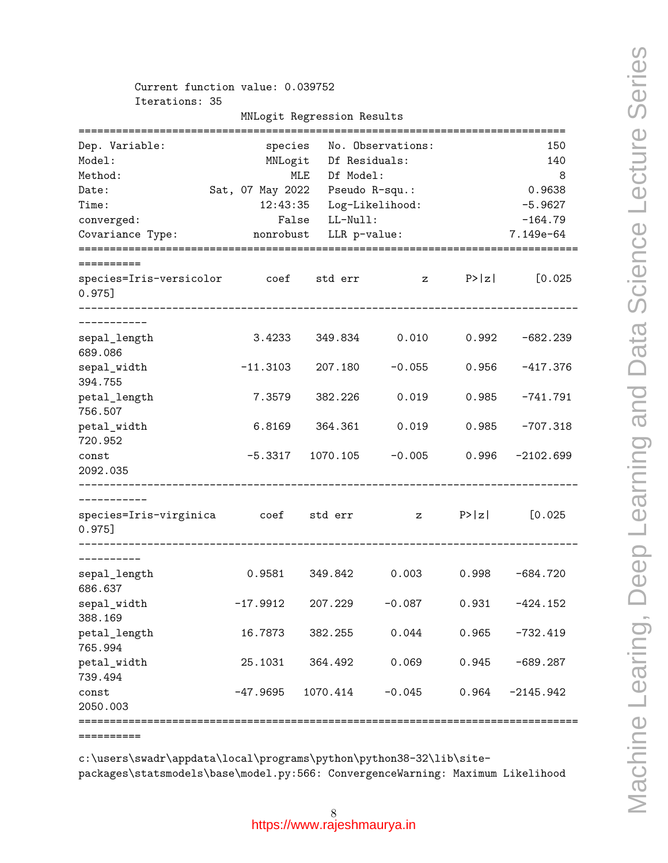Current function value: 0.039752 Iterations: 35

| Dep. Variable:<br>Model:<br>Method:            | species<br>MNLogit                           | MLE<br>Df Model:       | No. Observations:<br>Df Residuals: |        | 150<br>140<br>8 |
|------------------------------------------------|----------------------------------------------|------------------------|------------------------------------|--------|-----------------|
|                                                |                                              |                        |                                    |        | 0.9638          |
| Date:<br>Time:                                 | Sat, 07 May 2022  Pseudo R-squ.:<br>12:43:35 |                        |                                    |        | $-5.9627$       |
|                                                | False                                        | LL-Null:               | Log-Likelihood:                    |        | $-164.79$       |
| converged:<br>Covariance Type:                 |                                              | nonrobust LLR p-value: |                                    |        | 7.149e-64       |
|                                                |                                              |                        |                                    |        |                 |
| ;=========                                     |                                              |                        |                                    |        |                 |
| species=Iris-versicolor coef std err<br>0.975] |                                              |                        | $\mathbf{z}$                       | P >  z | [0.025          |
| -----------                                    |                                              |                        |                                    |        |                 |
| sepal_length<br>689.086                        | 3.4233                                       | 349.834                | 0.010                              | 0.992  | $-682.239$      |
| sepal_width<br>394.755                         | $-11.3103$                                   | 207.180                | $-0.055$                           | 0.956  | -417.376        |
| petal_length<br>756.507                        | 7.3579                                       | 382.226                | 0.019                              | 0.985  | $-741.791$      |
| petal_width<br>720.952                         | 6.8169                                       | 364.361                | 0.019                              | 0.985  | $-707.318$      |
| const                                          |                                              | $-5.3317$ 1070.105     | $-0.005$                           | 0.996  | $-2102.699$     |
| 2092.035                                       |                                              |                        |                                    |        |                 |
|                                                |                                              |                        |                                    |        |                 |
| species=Iris-virginica coef std err<br>0.975]  |                                              |                        | $\mathbf{z}$                       | P >  z | [0.025]         |
| ----------                                     |                                              |                        |                                    |        |                 |
| sepal_length<br>686.637                        | 0.9581                                       | 349.842                | 0.003                              | 0.998  | $-684.720$      |
| sepal_width<br>388.169                         | $-17.9912$                                   | 207.229                | $-0.087$                           | 0.931  | $-424.152$      |
| petal_length<br>765.994                        | 16.7873                                      | 382.255                | 0.044                              | 0.965  | $-732.419$      |
| petal_width<br>739.494                         | 25.1031                                      | 364.492                | 0.069                              | 0.945  | $-689.287$      |
| const<br>2050.003                              | $-47.9695$                                   | 1070.414               | $-0.045$                           | 0.964  | $-2145.942$     |
|                                                |                                              |                        |                                    |        |                 |
| ==========                                     |                                              |                        |                                    |        |                 |

c:\users\swadr\appdata\local\programs\python\python38-32\lib\sitepackages\statsmodels\base\model.py:566: ConvergenceWarning: Maximum Likelihood